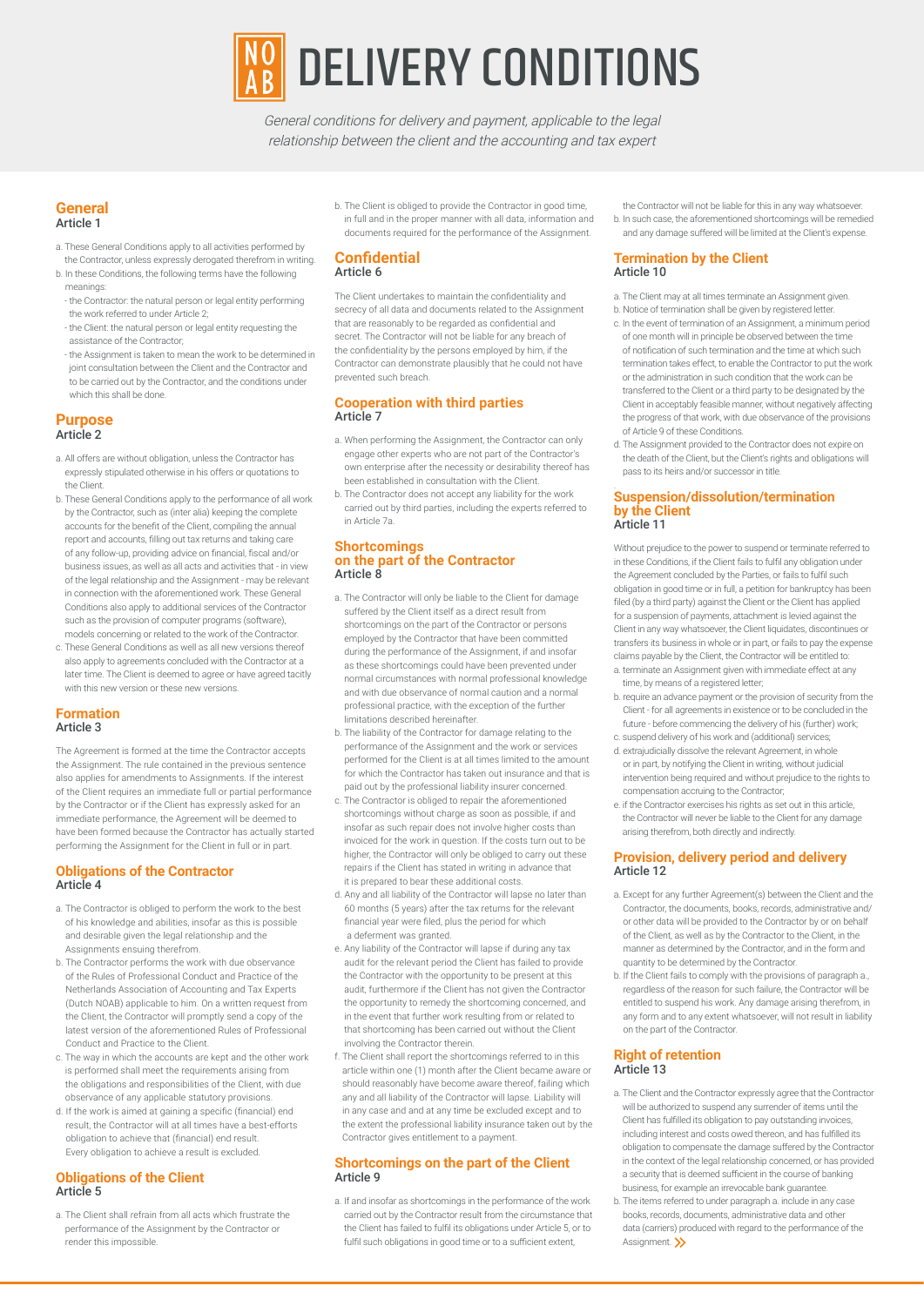

General conditions for delivery and payment, applicable to the legal relationship between the client and the accounting and tax expert

#### **General** Article 1

- a. These General Conditions apply to all activities performed by
- the Contractor, unless expressly derogated therefrom in writing. b. In these Conditions, the following terms have the following meanings:
	- the Contractor: the natural person or legal entity performing the work referred to under Article 2;
	- the Client: the natural person or legal entity requesting the assistance of the Contractor;
	- the Assignment is taken to mean the work to be determined in joint consultation between the Client and the Contractor and to be carried out by the Contractor, and the conditions under which this shall be done.

### **Purpose** Article 2

- a. All offers are without obligation, unless the Contractor has expressly stipulated otherwise in his offers or quotations to the Client.
- b. These General Conditions apply to the performance of all work by the Contractor, such as (inter alia) keeping the complete accounts for the benefit of the Client, compiling the annual report and accounts, filling out tax returns and taking care of any follow-up, providing advice on financial, fiscal and/or business issues, as well as all acts and activities that - in view of the legal relationship and the Assignment - may be relevant in connection with the aforementioned work. These General Conditions also apply to additional services of the Contractor such as the provision of computer programs (software), models concerning or related to the work of the Contractor.
- c. These General Conditions as well as all new versions thereof also apply to agreements concluded with the Contractor at a later time. The Client is deemed to agree or have agreed tacitly with this new version or these new versions.

### **Formation** Article 3

The Agreement is formed at the time the Contractor accepts the Assignment. The rule contained in the previous sentence also applies for amendments to Assignments. If the interest of the Client requires an immediate full or partial performance by the Contractor or if the Client has expressly asked for an immediate performance, the Agreement will be deemed to have been formed because the Contractor has actually started performing the Assignment for the Client in full or in part.

# **Obligations of the Contractor** Article 4

- a. The Contractor is obliged to perform the work to the best of his knowledge and abilities, insofar as this is possible and desirable given the legal relationship and the Assignments ensuing therefrom.
- b. The Contractor performs the work with due observance of the Rules of Professional Conduct and Practice of the Netherlands Association of Accounting and Tax Experts (Dutch NOAB) applicable to him. On a written request from the Client, the Contractor will promptly send a copy of the latest version of the aforementioned Rules of Professional Conduct and Practice to the Client.
- c. The way in which the accounts are kept and the other work is performed shall meet the requirements arising from the obligations and responsibilities of the Client, with due observance of any applicable statutory provisions.
- d. If the work is aimed at gaining a specific (financial) end result, the Contractor will at all times have a best-efforts obligation to achieve that (financial) end result. Every obligation to achieve a result is excluded.

# **Obligations of the Client** Article 5

a. The Client shall refrain from all acts which frustrate the performance of the Assignment by the Contractor or render this impossible.

b. The Client is obliged to provide the Contractor in good time, in full and in the proper manner with all data, information and documents required for the performance of the Assignment.

# **Confidential** Article 6

The Client undertakes to maintain the confidentiality and secrecy of all data and documents related to the Assignment that are reasonably to be regarded as confidential and secret. The Contractor will not be liable for any breach of the confidentiality by the persons employed by him, if the Contractor can demonstrate plausibly that he could not have prevented such breach.

## **Cooperation with third parties** Article 7

- a. When performing the Assignment, the Contractor can only engage other experts who are not part of the Contractor's own enterprise after the necessity or desirability thereof has been established in consultation with the Client.
- b. The Contractor does not accept any liability for the work carried out by third parties, including the experts referred to in Article 7a.

### **Shortcomings on the part of the Contractor** Article 8

- a. The Contractor will only be liable to the Client for damage suffered by the Client itself as a direct result from shortcomings on the part of the Contractor or persons employed by the Contractor that have been committed during the performance of the Assignment, if and insofar as these shortcomings could have been prevented under normal circumstances with normal professional knowledge and with due observance of normal caution and a normal professional practice, with the exception of the further limitations described hereinafter.
- b. The liability of the Contractor for damage relating to the performance of the Assignment and the work or services performed for the Client is at all times limited to the amount for which the Contractor has taken out insurance and that is paid out by the professional liability insurer concerned.
- c. The Contractor is obliged to repair the aforementioned shortcomings without charge as soon as possible, if and insofar as such repair does not involve higher costs than invoiced for the work in question. If the costs turn out to be higher, the Contractor will only be obliged to carry out these repairs if the Client has stated in writing in advance that it is prepared to bear these additional costs.
- d. Any and all liability of the Contractor will lapse no later than 60 months (5 years) after the tax returns for the relevant financial year were filed, plus the period for which a deferment was granted.
- e. Any liability of the Contractor will lapse if during any tax audit for the relevant period the Client has failed to provide the Contractor with the opportunity to be present at this audit, furthermore if the Client has not given the Contractor the opportunity to remedy the shortcoming concerned, and in the event that further work resulting from or related to that shortcoming has been carried out without the Client involving the Contractor therein.
- f. The Client shall report the shortcomings referred to in this article within one (1) month after the Client became aware or should reasonably have become aware thereof, failing which any and all liability of the Contractor will lapse. Liability will in any case and and at any time be excluded except and to the extent the professional liability insurance taken out by the Contractor gives entitlement to a payment.

### **Shortcomings on the part of the Client** Article 9

a. If and insofar as shortcomings in the performance of the work carried out by the Contractor result from the circumstance that the Client has failed to fulfil its obligations under Article 5, or to fulfil such obligations in good time or to a sufficient extent.

the Contractor will not be liable for this in any way whatsoever. b. In such case, the aforementioned shortcomings will be remedied and any damage suffered will be limited at the Client's expense.

## **Termination by the Client** Article 10

- a. The Client may at all times terminate an Assignment given.
- b. Notice of termination shall be given by registered letter. c. In the event of termination of an Assignment, a minimum period
- of one month will in principle be observed between the time of notification of such termination and the time at which such termination takes effect, to enable the Contractor to put the work or the administration in such condition that the work can be transferred to the Client or a third party to be designated by the Client in acceptably feasible manner, without negatively affecting the progress of that work, with due observance of the provisions of Article 9 of these Conditions.
- d. The Assignment provided to the Contractor does not expire on the death of the Client, but the Client's rights and obligations will pass to its heirs and/or successor in title.

### **Suspension/dissolution/termination by the Client** Article 11

Without prejudice to the power to suspend or terminate referred to in these Conditions, if the Client fails to fulfil any obligation under the Agreement concluded by the Parties, or fails to fulfil such obligation in good time or in full, a petition for bankruptcy has been filed (by a third party) against the Client or the Client has applied for a suspension of payments, attachment is levied against the Client in any way whatsoever, the Client liquidates, discontinues or transfers its business in whole or in part, or fails to pay the expense claims payable by the Client, the Contractor will be entitled to: a. terminate an Assignment given with immediate effect at any

- time, by means of a registered letter; b. require an advance payment or the provision of security from the
- Client for all agreements in existence or to be concluded in the future - before commencing the delivery of his (further) work; c. suspend delivery of his work and (additional) services;
- d. extrajudicially dissolve the relevant Agreement, in whole
- or in part, by notifying the Client in writing, without judicial intervention being required and without prejudice to the rights to compensation accruing to the Contractor;
- e. if the Contractor exercises his rights as set out in this article, the Contractor will never be liable to the Client for any damage arising therefrom, both directly and indirectly.

## **Provision, delivery period and delivery** Article 12

- a. Except for any further Agreement(s) between the Client and the Contractor, the documents, books, records, administrative and/ or other data will be provided to the Contractor by or on behalf of the Client, as well as by the Contractor to the Client, in the manner as determined by the Contractor, and in the form and quantity to be determined by the Contractor.
- b. If the Client fails to comply with the provisions of paragraph a., regardless of the reason for such failure, the Contractor will be entitled to suspend his work. Any damage arising therefrom, in any form and to any extent whatsoever, will not result in liability on the part of the Contractor.

### **Right of retention** Article 13

- a. The Client and the Contractor expressly agree that the Contractor will be authorized to suspend any surrender of items until the Client has fulfilled its obligation to pay outstanding invoices, including interest and costs owed thereon, and has fulfilled its obligation to compensate the damage suffered by the Contractor in the context of the legal relationship concerned, or has provided a security that is deemed sufficient in the course of banking business, for example an irrevocable bank guarantee.
- b. The items referred to under paragraph a. include in any case books, records, documents, administrative data and other data (carriers) produced with regard to the performance of the Assignment. >>